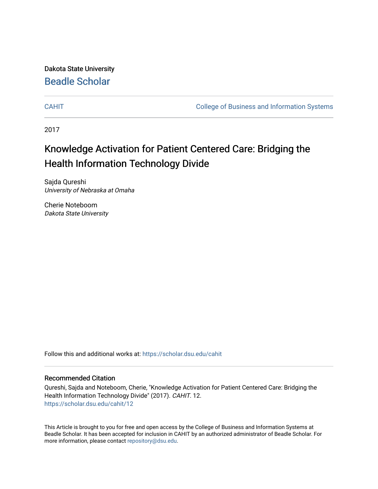Dakota State University [Beadle Scholar](https://scholar.dsu.edu/)

[CAHIT](https://scholar.dsu.edu/cahit) [College of Business and Information Systems](https://scholar.dsu.edu/biscollege) 

2017

# Knowledge Activation for Patient Centered Care: Bridging the Health Information Technology Divide

Sajda Qureshi University of Nebraska at Omaha

Cherie Noteboom Dakota State University

Follow this and additional works at: [https://scholar.dsu.edu/cahit](https://scholar.dsu.edu/cahit?utm_source=scholar.dsu.edu%2Fcahit%2F12&utm_medium=PDF&utm_campaign=PDFCoverPages) 

## Recommended Citation

Qureshi, Sajda and Noteboom, Cherie, "Knowledge Activation for Patient Centered Care: Bridging the Health Information Technology Divide" (2017). CAHIT. 12. [https://scholar.dsu.edu/cahit/12](https://scholar.dsu.edu/cahit/12?utm_source=scholar.dsu.edu%2Fcahit%2F12&utm_medium=PDF&utm_campaign=PDFCoverPages) 

This Article is brought to you for free and open access by the College of Business and Information Systems at Beadle Scholar. It has been accepted for inclusion in CAHIT by an authorized administrator of Beadle Scholar. For more information, please contact [repository@dsu.edu.](mailto:repository@dsu.edu)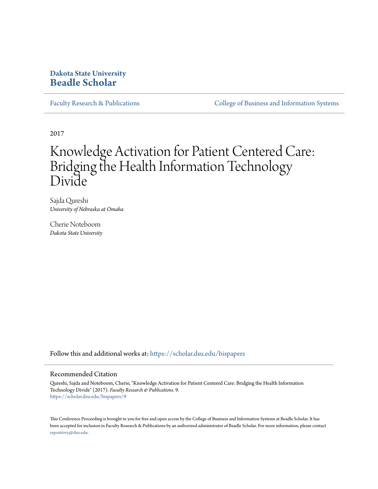# **Dakota State University [Beadle Scholar](https://scholar.dsu.edu?utm_source=scholar.dsu.edu%2Fbispapers%2F9&utm_medium=PDF&utm_campaign=PDFCoverPages)**

[Faculty Research & Publications](https://scholar.dsu.edu/bispapers?utm_source=scholar.dsu.edu%2Fbispapers%2F9&utm_medium=PDF&utm_campaign=PDFCoverPages) [College of Business and Information Systems](https://scholar.dsu.edu/biscollege?utm_source=scholar.dsu.edu%2Fbispapers%2F9&utm_medium=PDF&utm_campaign=PDFCoverPages)

2017

# Knowledge Activation for Patient Centered Care: Bridging the Health Information Technology Divide

Sajda Qureshi *University of Nebraska at Omaha*

Cherie Noteboom *Dakota State University*

Follow this and additional works at: [https://scholar.dsu.edu/bispapers](https://scholar.dsu.edu/bispapers?utm_source=scholar.dsu.edu%2Fbispapers%2F9&utm_medium=PDF&utm_campaign=PDFCoverPages)

#### Recommended Citation

Qureshi, Sajda and Noteboom, Cherie, "Knowledge Activation for Patient Centered Care: Bridging the Health Information Technology Divide" (2017). *Faculty Research & Publications*. 9. [https://scholar.dsu.edu/bispapers/9](https://scholar.dsu.edu/bispapers/9?utm_source=scholar.dsu.edu%2Fbispapers%2F9&utm_medium=PDF&utm_campaign=PDFCoverPages)

This Conference Proceeding is brought to you for free and open access by the College of Business and Information Systems at Beadle Scholar. It has been accepted for inclusion in Faculty Research & Publications by an authorized administrator of Beadle Scholar. For more information, please contact [repository@dsu.edu.](mailto:repository@dsu.edu)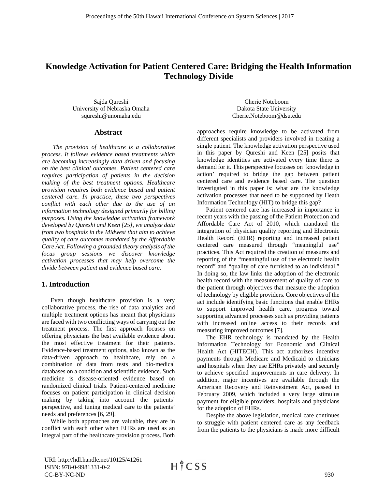# **Knowledge Activation for Patient Centered Care: Bridging the Health Information Technology Divide**

Sajda Qureshi University of Nebraska Omaha squreshi@unomaha.edu

#### **Abstract**

*The provision of healthcare is a collaborative process. It follows evidence based treatments which are becoming increasingly data driven and focusing on the best clinical outcomes. Patient centered care requires participation of patients in the decision making of the best treatment options. Healthcare provision requires both evidence based and patient centered care. In practice, these two perspectives conflict with each other due to the use of an information technology designed primarily for billing purposes. Using the knowledge activation framework developed by Qureshi and Keen [25], we analyze data from two hospitals in the Midwest that aim to achieve quality of care outcomes mandated by the Affordable Care Act. Following a grounded theory analysis of the focus group sessions we discover knowledge activation processes that may help overcome the divide between patient and evidence based care.* 

# **1. Introduction**

Even though healthcare provision is a very collaborative process, the rise of data analytics and multiple treatment options has meant that physicians are faced with two conflicting ways of carrying out the treatment process. The first approach focuses on offering physicians the best available evidence about the most effective treatment for their patients. Evidence-based treatment options, also known as the data-driven approach to healthcare, rely on a combination of data from tests and bio-medical databases on a condition and scientific evidence. Such medicine is disease-oriented evidence based on randomized clinical trials. Patient-centered medicine focuses on patient participation in clinical decision making by taking into account the patients' perspective, and tuning medical care to the patients' needs and preferences [6, 29].

While both approaches are valuable, they are in conflict with each other when EHRs are used as an integral part of the healthcare provision process. Both

Cherie Noteboom Dakota State University Cherie.Noteboom@dsu.edu

approaches require knowledge to be activated from different specialists and providers involved in treating a single patient. The knowledge activation perspective used in this paper by Qureshi and Keen [25] posits that knowledge identities are activated every time there is demand for it. This perspective focusses on 'knowledge in action' required to bridge the gap between patient centered care and evidence based care. The question investigated in this paper is: what are the knowledge activation processes that need to be supported by Heath Information Technology (HIT) to bridge this gap?

Patient centered care has increased in importance in recent years with the passing of the Patient Protection and Affordable Care Act of 2010, which mandated the integration of physician quality reporting and Electronic Health Record (EHR) reporting and increased patient centered care measured through "meaningful use" practices. This Act required the creation of measures and reporting of the "meaningful use of the electronic health record" and "quality of care furnished to an individual." In doing so, the law links the adoption of the electronic health record with the measurement of quality of care to the patient through objectives that measure the adoption of technology by eligible providers. Core objectives of the act include identifying basic functions that enable EHRs to support improved health care, progress toward supporting advanced processes such as providing patients with increased online access to their records and measuring improved outcomes [7].

The EHR technology is mandated by the Health Information Technology for Economic and Clinical Health Act (HITECH). This act authorizes incentive payments through Medicare and Medicaid to clinicians and hospitals when they use EHRs privately and securely to achieve specified improvements in care delivery. In addition, major incentives are available through the American Recovery and Reinvestment Act, passed in February 2009, which included a very large stimulus payment for eligible providers, hospitals and physicians for the adoption of EHRs.

Despite the above legislation, medical care continues to struggle with patient centered care as any feedback from the patients to the physicians is made more difficult

URI: http://hdl.handle.net/10125/41261 ISBN: 978-0-9981331-0-2 CC-BY-NC-ND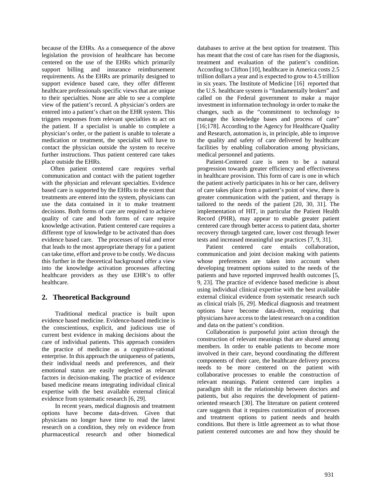because of the EHRs. As a consequence of the above legislation the provision of healthcare has become centered on the use of the EHRs which primarily support billing and insurance reimbursement requirements. As the EHRs are primarily designed to support evidence based care, they offer different healthcare professionals specific views that are unique to their specialties. None are able to see a complete view of the patient's record. A physician's orders are entered into a patient's chart on the EHR system. This triggers responses from relevant specialties to act on the patient. If a specialist is unable to complete a physician's order, or the patient is unable to tolerate a medication or treatment, the specialist will have to contact the physician outside the system to receive further instructions. Thus patient centered care takes place outside the EHRs.

Often patient centered care requires verbal communication and contact with the patient together with the physician and relevant specialties. Evidence based care is supported by the EHRs to the extent that treatments are entered into the system, physicians can use the data contained in it to make treatment decisions. Both forms of care are required to achieve quality of care and both forms of care require knowledge activation. Patient centered care requires a different type of knowledge to be activated than does evidence based care. The processes of trial and error that leads to the most appropriate therapy for a patient can take time, effort and prove to be costly. We discuss this further in the theoretical background offer a view into the knowledge activation processes affecting healthcare providers as they use EHR's to offer healthcare.

# **2. Theoretical Background**

Traditional medical practice is built upon evidence based medicine. Evidence-based medicine is the conscientious, explicit, and judicious use of current best evidence in making decisions about the care of individual patients. This approach considers the practice of medicine as a cognitive-rational enterprise. In this approach the uniqueness of patients, their individual needs and preferences, and their emotional status are easily neglected as relevant factors in decision-making. The practice of evidence based medicine means integrating individual clinical expertise with the best available external clinical evidence from systematic research [6, 29].

In recent years, medical diagnosis and treatment options have become data-driven. Given that physicians no longer have time to read the latest research on a condition, they rely on evidence from pharmaceutical research and other biomedical databases to arrive at the best option for treatment. This has meant that the cost of care has risen for the diagnosis, treatment and evaluation of the patient's condition. According to Clifton [10], healthcare in America costs 2.5 trillion dollars a year and is expected to grow to 4.5 trillion in six years. The Institute of Medicine [16] reported that the U.S. healthcare system is "fundamentally broken" and called on the Federal government to make a major investment in information technology in order to make the changes, such as the "commitment to technology to manage the knowledge bases and process of care" [16;178]. According to the Agency for Healthcare Quality and Research, automation is, in principle, able to improve the quality and safety of care delivered by healthcare facilities by enabling collaboration among physicians, medical personnel and patients.

Patient-Centered care is seen to be a natural progression towards greater efficiency and effectiveness in healthcare provision. This form of care is one in which the patient actively participates in his or her care, delivery of care takes place from a patient's point of view, there is greater communication with the patient, and therapy is tailored to the needs of the patient [20, 30, 31]. The implementation of HIT, in particular the Patient Health Record (PHR), may appear to enable greater patient centered care through better access to patient data, shorter recovery through targeted care, lower cost through fewer tests and increased meaningful use practices [7, 9, 31].

Patient centered care entails collaboration, communication and joint decision making with patients whose preferences are taken into account when developing treatment options suited to the needs of the patients and have reported improved health outcomes [5, 9, 23]. The practice of evidence based medicine is about using individual clinical expertise with the best available external clinical evidence from systematic research such as clinical trials [6, 29]. Medical diagnosis and treatment options have become data-driven, requiring that physicians have access to the latest research on a condition and data on the patient's condition.

Collaboration is purposeful joint action through the construction of relevant meanings that are shared among members. In order to enable patients to become more involved in their care, beyond coordinating the different components of their care, the healthcare delivery process needs to be more centered on the patient with collaborative processes to enable the construction of relevant meanings. Patient centered care implies a paradigm shift in the relationship between doctors and patients, but also requires the development of patientoriented research [30]. The literature on patient centered care suggests that it requires customization of processes and treatment options to patient needs and health conditions. But there is little agreement as to what those patient centered outcomes are and how they should be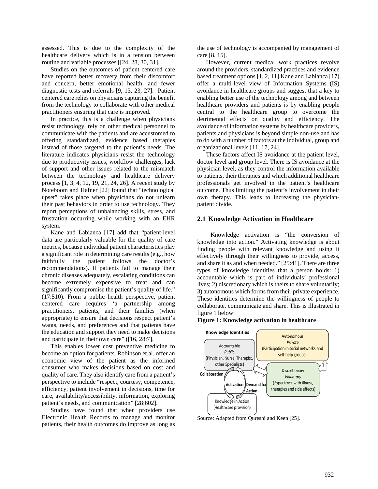assessed. This is due to the complexity of the healthcare delivery which is in a tension between routine and variable processes [[24, 28, 30, 31].

Studies on the outcomes of patient centered care have reported better recovery from their discomfort and concern, better emotional health, and fewer diagnostic tests and referrals [9, 13, 23, 27]. Patient centered care relies on physicians capturing the benefit from the technology to collaborate with other medical practitioners ensuring that care is improved.

In practice, this is a challenge when physicians resist technology, rely on other medical personnel to communicate with the patients and are accustomed to offering standardized, evidence based therapies instead of those targeted to the patient's needs. The literature indicates physicians resist the technology due to productivity issues, workflow challenges, lack of support and other issues related to the mismatch between the technology and healthcare delivery process [1, 3, 4, 12, 19, 21, 24, 26]. A recent study by Noteboom and Hafner [22] found that "technological upset" takes place when physicians do not unlearn their past behaviors in order to use technology. They report perceptions of unbalancing skills, stress, and frustration occurring while working with an EHR system.

Kane and Labianca [17] add that "patient-level data are particularly valuable for the quality of care metrics, because individual patient characteristics play a significant role in determining care results (e.g., how faithfully the patient follows the doctor's recommendations). If patients fail to manage their chronic diseases adequately, escalating conditions can become extremely expensive to treat and can significantly compromise the patient's quality of life." (17:510). From a public health perspective, patient centered care requires 'a partnership among practitioners, patients, and their families (when appropriate) to ensure that decisions respect patient's wants, needs, and preferences and that patients have the education and support they need to make decisions and participate in their own care" ([16, 28:7].

This enables lower cost preventive medicine to become an option for patients. Robinson et.al. offer an economic view of the patient as the informed consumer who makes decisions based on cost and quality of care. They also identify care from a patient's perspective to include "respect, courtesy, competence, efficiency, patient involvement in decisions, time for care, availability/accessibility, information, exploring patient's needs, and communication" [28:602].

Studies have found that when providers use Electronic Health Records to manage and monitor patients, their health outcomes do improve as long as the use of technology is accompanied by management of care [8, 15].

However, current medical work practices revolve around the providers, standardized practices and evidence based treatment options [1, 2, 11].Kane and Labianca [17] offer a multi-level view of Information Systems (IS) avoidance in healthcare groups and suggest that a key to enabling better use of the technology among and between healthcare providers and patients is by enabling people central to the healthcare group to overcome the detrimental effects on quality and efficiency. The avoidance of information systems by healthcare providers, patients and physicians is beyond simple non-use and has to do with a number of factors at the individual, group and organizational levels [11, 17, 24].

These factors affect IS avoidance at the patient level, doctor level and group level. There is IS avoidance at the physician level, as they control the information available to patients, their therapies and which additional healthcare professionals get involved in the patient's healthcare outcome. Thus limiting the patient's involvement in their own therapy. This leads to increasing the physicianpatient divide.

#### **2.1 Knowledge Activation in Healthcare**

Knowledge activation is "the conversion of knowledge into action." Activating knowledge is about finding people with relevant knowledge and using it effectively through their willingness to provide, access, and share it as and when needed." [25:41]. There are three types of knowledge identities that a person holds: 1) accountable which is part of individuals' professional lives; 2) discretionary which is theirs to share voluntarily; 3) autonomous which forms from their private experience. These identities determine the willingness of people to collaborate, communicate and share. This is illustrated in figure 1 below:

#### **Figure 1: Knowledge activation in healthcare**



Source: Adapted from Qureshi and Keen [25].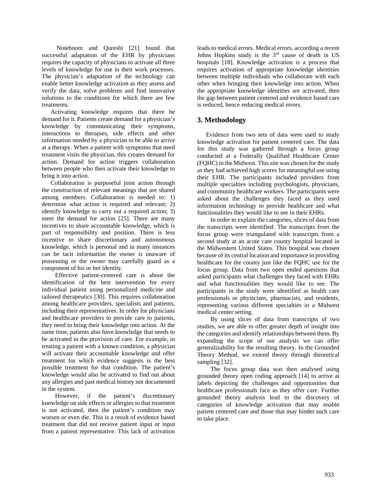Noteboom and Qureshi [21] found that successful adaptation of the EHR by physicians requires the capacity of physicians to activate all three levels of knowledge for use in their work processes. The physician's adaptation of the technology can enable better knowledge activation as they assess and verify the data, solve problems and find innovative solutions to the conditions for which there are few treatments.

Activating knowledge requires that there be demand for it. Patients create demand for a physician's knowledge by communicating their symptoms, interactions to therapies, side effects and other information needed by a physician to be able to arrive at a therapy. When a patient with symptoms that need treatment visits the physician, this creates demand for action. Demand for action triggers collaboration between people who then activate their knowledge to bring it into action.

Collaboration is purposeful joint action through the construction of relevant meanings that are shared among members. Collaboration is needed to: 1) determine what action is required and relevant; 2) identify knowledge to carry out a required action; 3) meet the demand for action [25]. There are many incentives to share accountable knowledge, which is part of responsibility and position. There is less incentive to share discretionary and autonomous knowledge, which is personal and in many instances can be tacit information the owner is unaware of possessing or the owner may carefully guard as a component of his or her identity.

Effective patient-centered care is about the identification of the best intervention for every individual patient using personalized medicine and tailored therapeutics [30]. This requires collaboration among healthcare providers, specialists and patients, including their representatives. In order for physicians and healthcare providers to provide care to patients, they need to bring their knowledge into action. At the same time, patients also have knowledge that needs to be activated in the provision of care. For example, in treating a patient with a known condition, a physician will activate their accountable knowledge and offer treatment for which evidence suggests is the best possible treatment for that condition. The patient's knowledge would also be activated to find out about any allergies and past medical history not documented in the system.

However, if the patient's discretionary knowledge on side effects or allergies to that treatment is not activated, then the patient's condition may worsen or even die. This is a result of evidence based treatment that did not receive patient input or input from a patient representative. This lack of activation leads to medical errors. Medical errors, according a recent Johns Hopkins study is the 3rd cause of death in US hospitals [18]. Knowledge activation is a process that requires activation of appropriate knowledge identities between multiple individuals who collaborate with each other when bringing their knowledge into action. When the appropriate knowledge identities are activated, then the gap between patient centered and evidence based care is reduced, hence reducing medical errors.

# **3. Methodology**

Evidence from two sets of data were used to study knowledge activation for patient centered care. The data for this study was gathered through a focus group conducted at a Federally Qualified Healthcare Center (FQHC) in the Midwest. This site was chosen for the study as they had achieved high scores for meaningful use using their EHR. The participants included providers from multiple specialties including psychologists, physicians, and community healthcare workers. The participants were asked about the challenges they faced as they used information technology to provide healthcare and what functionalities they would like to see in their EHRs.

In order to explain the categories, slices of data from the transcripts were identified. The transcripts from the focus group were triangulated with transcripts from a second study at an acute care county hospital located in the Midwestern United States. This hospital was chosen because of its central location and importance in providing healthcare for the county just like the FQHC use for the focus group. Data from two open ended questions that asked participants what challenges they faced with EHRs and what functionalities they would like to see. The participants in the study were identified as health care professionals or physicians, pharmacists, and residents, representing various different specialties in a Midwest medical center setting.

By using slices of data from transcripts of two studies, we are able to offer greater depth of insight into the categories and identify relationships between them. By expanding the scope of our analysis we can offer generalizability for the resulting theory. In the Grounded Theory Method, we extend theory through theoretical sampling [32].

The focus group data was then analysed using grounded theory open coding approach [14] to arrive at labels depicting the challenges and opportunities that healthcare professionals face as they offer care. Further grounded theory analysis lead to the discovery of categories of knowledge activation that may enable patient centered care and those that may hinder such care to take place.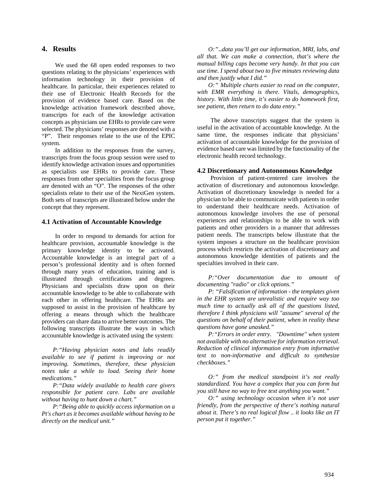### **4. Results**

We used the 68 open ended responses to two questions relating to the physicians' experiences with information technology in their provision of healthcare. In particular, their experiences related to their use of Electronic Health Records for the provision of evidence based care. Based on the knowledge activation framework described above, transcripts for each of the knowledge activation concepts as physicians use EHRs to provide care were selected. The physicians' responses are denoted with a "P". Their responses relate to the use of the EPIC system.

In addition to the responses from the survey, transcripts from the focus group session were used to identify knowledge activation issues and opportunities as specialists use EHRs to provide care. These responses from other specialties from the focus group are denoted with an "O". The responses of the other specialists relate to their use of the NextGen system. Both sets of transcripts are illustrated below under the concept that they represent.

#### **4.1 Activation of Accountable Knowledge**

In order to respond to demands for action for healthcare provision, accountable knowledge is the primary knowledge identity to be activated. Accountable knowledge is an integral part of a person's professional identity and is often formed through many years of education, training and is illustrated through certifications and degrees. Physicians and specialists draw upon on their accountable knowledge to be able to collaborate with each other in offering healthcare. The EHRs are supposed to assist in the provision of healthcare by offering a means through which the healthcare providers can share data to arrive better outcomes. The following transcripts illustrate the ways in which accountable knowledge is activated using the system:

*P:"Having physician notes and labs readily available to see if patient is improving or not improving. Sometimes, therefore, these physician notes take a while to load. Seeing their home medications."* 

*P:"Data widely available to health care givers responsible for patient care. Labs are available without having to hunt down a chart."* 

*P:"Being able to quickly access information on a Pt's chart as it becomes available without having to be directly on the medical unit."* 

*O:"*..*data you'll get our information, MRI, labs, and all that. We can make a connection, that's where the manual billing caps become very handy. In that you can use time. I spend about two to five minutes reviewing data and then justify what I did."* 

*O:" Multiple charts easier to read on the computer, with EMR everything is there. Vitals, demographics, history. With little time, it's easier to do homework first, see patient, then return to do data entry."* 

The above transcripts suggest that the system is useful in the activation of accountable knowledge. At the same time, the responses indicate that physicians' activation of accountable knowledge for the provision of evidence based care was limited by the functionality of the electronic health record technology.

#### **4.2 Discretionary and Autonomous Knowledge**

Provision of patient-centered care involves the activation of discretionary and autonomous knowledge. Activation of discretionary knowledge is needed for a physician to be able to communicate with patients in order to understand their healthcare needs. Activation of autonomous knowledge involves the use of personal experiences and relationships to be able to work with patients and other providers in a manner that addresses patient needs. The transcripts below illustrate that the system imposes a structure on the healthcare provision process which restricts the activation of discretionary and autonomous knowledge identities of patients and the specialties involved in their care.

*P:"Over documentation due to amount of documenting "radio" or click options."* 

*P: "Falsification of information - the templates given in the EHR system are unrealistic and require way too much time to actually ask all of the questions listed, therefore I think physicians will "assume" several of the questions on behalf of their patient, when in reality these questions have gone unasked."* 

*P:"Errors in order entry. "Downtime" when system not available with no alternative for information retrieval. Reduction of clinical information entry from informative text to non-informative and difficult to synthesize checkboxes."* 

*O:" from the medical standpoint it's not really standardized. You have a complex that you can form but you still have no way to free text anything you want."* 

*O:" using technology occasion when it's not user friendly, from the perspective of there's nothing natural about it. There's no real logical flow .. it looks like an IT person put it together."*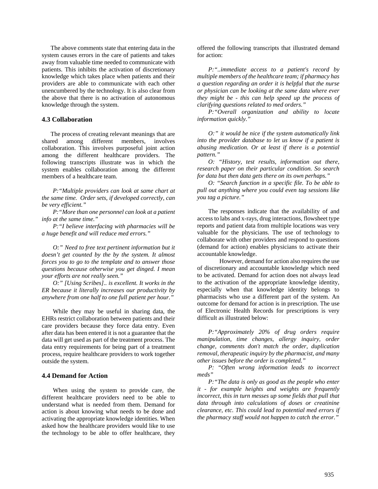The above comments state that entering data in the system causes errors in the care of patients and takes away from valuable time needed to communicate with patients. This inhibits the activation of discretionary knowledge which takes place when patients and their providers are able to communicate with each other unencumbered by the technology. It is also clear from the above that there is no activation of autonomous knowledge through the system.

#### **4.3 Collaboration**

The process of creating relevant meanings that are shared among different members, involves collaboration. This involves purposeful joint action among the different healthcare providers. The following transcripts illustrate was in which the system enables collaboration among the different members of a healthcare team.

*P:"Multiple providers can look at same chart at the same time. Order sets, if developed correctly, can be very efficient."* 

*P:"More than one personnel can look at a patient info at the same time."* 

*P:"I believe interfacing with pharmacies will be a huge benefit and will reduce med errors."* 

*O:" Need to free text pertinent information but it doesn't get counted by the by the system. It almost forces you to go to the template and to answer those questions because otherwise you get dinged. I mean your efforts are not really seen."* 

*O:" [Using Scribes].. is excellent. It works in the ER because it literally increases our productivity by anywhere from one half to one full patient per hour."* 

While they may be useful in sharing data, the EHRs restrict collaboration between patients and their care providers because they force data entry. Even after data has been entered it is not a guarantee that the data will get used as part of the treatment process. The data entry requirements for being part of a treatment process, require healthcare providers to work together outside the system.

#### **4.4 Demand for Action**

When using the system to provide care, the different healthcare providers need to be able to understand what is needed from them. Demand for action is about knowing what needs to be done and activating the appropriate knowledge identities. When asked how the healthcare providers would like to use the technology to be able to offer healthcare, they offered the following transcripts that illustrated demand for action:

*P:"..immediate access to a patient's record by multiple members of the healthcare team; if pharmacy has a question regarding an order it is helpful that the nurse or physician can be looking at the same data where ever they might be - this can help speed up the process of clarifying questions related to med orders."* 

*P:"Overall organization and ability to locate information quickly."* 

*O:" it would be nice if the system automatically link into the provider database to let us know if a patient is abusing medication. Or at least if there is a potential pattern."* 

*O: "History, test results, information out there, research paper on their particular condition. So search for data but then data gets there on its own perhaps."* 

*O: "Search function in a specific file. To be able to pull out anything where you could even tag sessions like you tag a picture."* 

The responses indicate that the availability of and access to labs and x-rays, drug interactions, flowsheet type reports and patient data from multiple locations was very valuable for the physicians. The use of technology to collaborate with other providers and respond to questions (demand for action) enables physicians to activate their accountable knowledge.

However, demand for action also requires the use of discretionary and accountable knowledge which need to be activated. Demand for action does not always lead to the activation of the appropriate knowledge identity, especially when that knowledge identity belongs to pharmacists who use a different part of the system. An outcome for demand for action is in prescription. The use of Electronic Health Records for prescriptions is very difficult as illustrated below:

*P:"Approximately 20% of drug orders require manipulation, time changes, allergy inquiry, order change, comments don't match the order, duplication removal, therapeutic inquiry by the pharmacist, and many other issues before the order is completed."* 

*P: "Often wrong information leads to incorrect meds"* 

*P:"The data is only as good as the people who enter it - for example heights and weights are frequently incorrect, this in turn messes up some fields that pull that data through into calculations of doses or creatinine clearance, etc. This could lead to potential med errors if the pharmacy staff would not happen to catch the error."*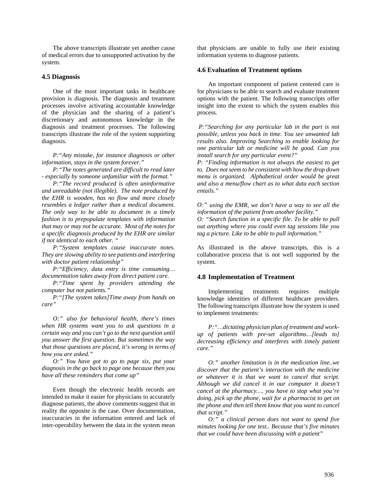The above transcripts illustrate yet another cause of medical errors due to unsupported activation by the system.

#### **4.5 Diagnosis**

One of the most important tasks in healthcare provision is diagnosis. The diagnosis and treatment processes involve activating accountable knowledge of the physician and the sharing of a patient's discretionary and autonomous knowledge in the diagnosis and treatment processes. The following transcripts illustrate the role of the system supporting diagnosis.

*P:"Any mistake, for instance diagnosis or other information, stays in the system forever."* 

*P:"The notes generated are difficult to read later - especially by someone unfamiliar with the format."* 

*P:"The record produced is often uninformative and unreadable (not illegible). The note produced by the EHR is wooden, has no flow and more closely resembles a ledger rather than a medical document. The only way to be able to document in a timely fashion is to prepopulate templates with information that may or may not be accurate. Most of the notes for a specific diagnosis produced by the EHR are similar if not identical to each other. "* 

*P:"System templates cause inaccurate notes. They are slowing ability to see patients and interfering with doctor patient relationship"* 

*P:"Efficiency, data entry is time consuming… documentation takes away from direct patient care.* 

*P:"Time spent by providers attending the computer but not patients."* 

*P:"[The system takes]Time away from hands on care"* 

*O:" also for behavioral health, there's times when HR systems want you to ask questions in a certain way and you can't go to the next question until you answer the first question. But sometimes the way that those questions are placed, it's wrong in terms of how you are asked."* 

*O:" You have got to go to page six, put your diagnosis in the go back to page one because then you have all these reminders that come up"* 

Even though the electronic health records are intended to make it easier for physicians to accurately diagnose patients, the above comments suggest that in reality the opposite is the case. Over documentation, inaccuracies in the information entered and lack of inter-operability between the data in the system mean that physicians are unable to fully use their existing information systems to diagnose patients.

#### **4.6 Evaluation of Treatment options**

An important component of patient centered care is for physicians to be able to search and evaluate treatment options with the patient. The following transcripts offer insight into the extent to which the system enables this process.

 *P:"Searching for any particular lab in the part is not possible, unless you back in time. You see unwanted lab results also. Improving Searching to enable looking for one particular lab or medicine will be good. Can you install search for any particular event?"* 

*P: "Finding information is not always the easiest to get to. Does not seem to be consistent with how the drop down menu is organized. Alphabetical order would be great and also a menu/flow chart as to what data each section entails."* 

*O:" using the EMR, we don't have a way to see all the information of the patient from another facility."* 

*O: "Search function in a specific file. To be able to pull out anything where you could even tag sessions like you tag a picture. Like to be able to pull information."* 

As illustrated in the above transcripts, this is a collaborative process that is not well supported by the system.

#### **4.8 Implementation of Treatment**

Implementing treatments requires multiple knowledge identities of different healthcare providers. The following transcripts illustrate how the system is used to implement treatments:

*P:"…dictating physician plan of treatment and workup of patients with pre-set algorithms…[leads to] decreasing efficiency and interferes with timely patient care."* 

*O:" another limitation is in the medication line..we discover that the patient's interaction with the medicine or whatever it is that we want to cancel that script. Although we did cancel it in our computer it doesn't cancel at the pharmacy…. you have to stop what you're doing, pick up the phone, wait for a pharmacist to get on the phone and then tell them know that you want to cancel that script."* 

*O:" a clinical person does not want to spend five minutes looking for one test.. Because that's five minutes that we could have been discussing with a patient"*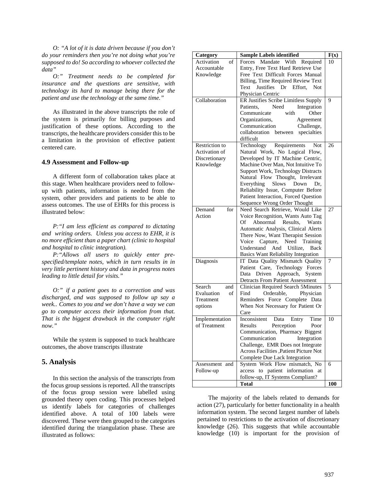*O: "A lot of it is data driven because if you don't do your reminders then you're not doing what you're supposed to do! So according to whoever collected the data"* 

*O:" Treatment needs to be completed for insurance and the questions are sensitive, with technology its hard to manage being there for the patient and use the technology at the same time."* 

As illustrated in the above transcripts the role of the system is primarily for billing purposes and justification of these options. According to the transcripts, the healthcare providers consider this to be a limitation in the provision of effective patient centered care.

#### **4.9 Assessment and Follow-up**

A different form of collaboration takes place at this stage. When healthcare providers need to followup with patients, information is needed from the system, other providers and patients to be able to assess outcomes. The use of EHRs for this process is illustrated below:

*P:"I am less efficient as compared to dictating and writing orders. Unless you access to EHR, it is no more efficient than a paper chart (clinic to hospital and hospital to clinic integration).* 

*P:"Allows all users to quickly enter prespecified/template notes, which in turn results in in very little pertinent history and data in progress notes leading to little detail for visits."* 

*O:" if a patient goes to a correction and was discharged, and was supposed to follow up say a week.. Comes to you and we don't have a way we can go to computer access their information from that. That is the biggest drawback in the computer right now."* 

While the system is supposed to track healthcare outcomes, the above transcripts illustrate

#### **5. Analysis**

In this section the analysis of the transcripts from the focus group sessions is reported. All the transcripts of the focus group session were labelled using grounded theory open coding. This processes helped us identify labels for categories of challenges identified above. A total of 100 labels were discovered. These were then grouped to the categories identified during the triangulation phase. These are illustrated as follows:

| Category          | <b>Sample Labels identified</b>            | F(x) |
|-------------------|--------------------------------------------|------|
| Activation<br>of  | Forces Mandate With Required               | 10   |
| Accountable       | Entry, Free Text Hard Retrieve Use         |      |
| Knowledge         | Free Text Difficult Forces Manual          |      |
|                   | Billing, Time Required Review Text         |      |
|                   | Justifies Dr Effort,<br>Text<br><b>Not</b> |      |
|                   | Physician Centric                          |      |
| Collaboration     | ER Justifies Scribe Limitless Supply       | 9    |
|                   | Need<br>Patients,<br>Integration           |      |
|                   | Communicate<br>with<br>Other               |      |
|                   | Organizations,<br>Agreement                |      |
|                   | Communication<br>Challenge,                |      |
|                   | specialties<br>collaboration<br>between    |      |
|                   | difficult                                  |      |
| Restriction to    | Technology Requirements<br>Not             | 26   |
| Activation of     | Natural Work, No Logical Flow,             |      |
| Discretionary     | Developed by IT Machine Centric,           |      |
| Knowledge         | Machine Over Man, Not Intuitive To         |      |
|                   | <b>Support Work, Technology Distracts</b>  |      |
|                   | Natural Flow Thought, Irrelevant           |      |
|                   | <b>Slows</b><br>Everything<br>Down<br>Dr.  |      |
|                   | Reliability Issue, Computer Before         |      |
|                   | Patient Interaction, Forced Question       |      |
|                   | Sequence Wrong Order Thought               |      |
| for<br>Demand     | Need Search Retrieve, Would Like           | 27   |
| Action            | Voice Recognition, Wants Auto Tag          |      |
|                   | Abnormal<br>Of<br>Results.<br>Wants        |      |
|                   | Automatic Analysis, Clinical Alerts        |      |
|                   | There Now, Want Therapist Session          |      |
|                   | Voice Capture,<br>Need Training            |      |
|                   | Understand And Utilize,<br>Back            |      |
|                   | <b>Basics Want Reliability Integration</b> |      |
| Diagnosis         | IT Data Quality Mismatch Quality           | 7    |
|                   | Patient Care, Technology Forces            |      |
|                   | Approach, System<br>Data<br>Driven         |      |
|                   | <b>Detracts From Patient Assessment</b>    |      |
| Search<br>and     | <b>Clinician Required Search 5Minutes</b>  | 5    |
| Evaluation<br>of  | Find<br>Orderable,<br>Physician            |      |
| Treatment         | Reminders Force Complete Data              |      |
| options           | When Not Necessary for Patient Or          |      |
|                   | Care                                       |      |
| Implementation    | Inconsistent<br>Data<br>Entry<br>Time      | 10   |
| of Treatment      | Perception<br>Results<br>Poor              |      |
|                   | Communication, Pharmacy Biggest            |      |
|                   | Communication<br>Integration               |      |
|                   | Challenge, EMR Does not Integrate          |      |
|                   | Across Facilities , Patient Picture Not    |      |
|                   | Complete Due Lack Integration              |      |
| Assessment<br>and | System Work Flow mismatch, No              | 6    |
| Follow-up         | access to patient information at           |      |
|                   | follow-up, IT Systems Compliant?           |      |
|                   | <b>Total</b>                               | 100  |

The majority of the labels related to demands for action (27), particularly for better functionality in a health information system. The second largest number of labels pertained to restrictions to the activation of discretionary knowledge (26). This suggests that while accountable knowledge (10) is important for the provision of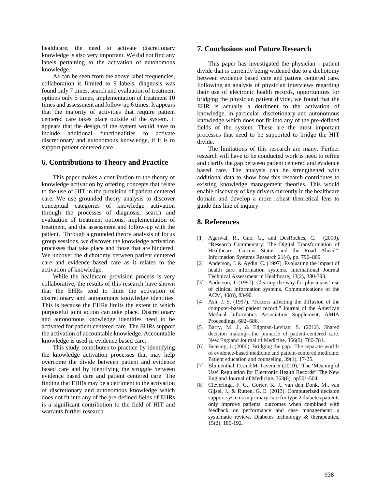healthcare, the need to activate discretionary knowledge is also very important. We did not find any labels pertaining to the activation of autonomous knowledge.

As can be seen from the above label frequencies, collaboration is limited to 9 labels, diagnosis was found only 7 times, search and evaluation of treatment options only 5 times, implementation of treatment 10 times and assessment and follow-up 6 times. It appears that the majority of activities that require patient centered care takes place outside of the system. It appears that the design of the system would have to include additional functionalities to activate discretionary and autonomous knowledge, if it is to support patient centered care.

#### **6. Contributions to Theory and Practice**

This paper makes a contribution to the theory of knowledge activation by offering concepts that relate to the use of HIT in the provision of patient centered care. We use grounded theory analysis to discover conceptual categories of knowledge activation through the processes of diagnosis, search and evaluation of treatment options, implementation of treatment, and the assessment and follow-up with the patient. Through a grounded theory analysis of focus group sessions, we discover the knowledge activation processes that take place and those that are hindered. We uncover the dichotomy between patient centered care and evidence based care as it relates to the activation of knowledge.

While the healthcare provision process is very collaborative, the results of this research have shown that the EHRs tend to limit the activation of discretionary and autonomous knowledge identities. This is because the EHRs limits the extent to which purposeful joint action can take place. Discretionary and autonomous knowledge identities need to be activated for patient centered care. The EHRs support the activation of accountable knowledge. Accountable knowledge is used in evidence based care.

This study contributes to practice by identifying the knowledge activation processes that may help overcome the divide between patient and evidence based care and by identifying the struggle between evidence based care and patient centered care. The finding that EHRs may be a detriment to the activation of discretionary and autonomous knowledge which does not fit into any of the pre-defined fields of EHRs is a significant contribution to the field of HIT and warrants further research.

#### **7. Conclusions and Future Research**

This paper has investigated the physician - patient divide that is currently being widened due to a dichotomy between evidence based care and patient centered care. Following an analysis of physician interviews regarding their use of electronic health records, opportunities for bridging the physician patient divide, we found that the EHR is actually a detriment to the activation of knowledge, in particular, discretionary and autonomous knowledge which does not fit into any of the pre-defined fields of the system. These are the most important processes that need to be supported to bridge the HIT divide.

The limitations of this research are many. Further research will have to be conducted work is need to refine and clarify the gap between patient centered and evidence based care. The analysis can be strengthened with additional data to show how this research contributes to existing knowledge management theories. This would enable discovery of key drivers currently in the healthcare domain and develop a more robust theoretical lens to guide this line of inquiry.

### **8. References**

- [1] Agarwal, R., Gao, G., and DesRoches, C. (2010), "Research Commentary: The Digital Transformation of Healthcare: Current Status and the Road Ahead". Information Systems Research 21(4), pp. 796–809
- [2] Anderson, J. & Aydin, C. (1997). Evaluating the impact of health care information systems. International Journal Technical Assessment in Healthcare, 13(2), 380-393.
- [3] Anderson, J. (1997). Clearing the way for physicians' use of clinical information systems. Communications of the ACM, 40(8), 83-90.
- [4] Ash, J. S. (1997). "Factors affecting the diffusion of the computer-based patient record." Journal of the American Medical Informatics Association Supplement, AMIA Proceedings, 682–686.
- [5] Barry, M. J., & Edgman-Levitan, S. (2012). Shared decision making—the pinnacle of patient-centered care. New England Journal of Medicine, 366(9), 780-781.
- [6] Bensing, J. (2000). Bridging the gap.: The separate worlds of evidence-based medicine and patient-centered medicine. Patient education and counseling, 39(1), 17-25.
- [7] Blumenthal, D. and M. Tavenner (2010), "The 'Meaningful Use' Regulation for Electronic Health Records" The New England Journal of Medicine. 363(6), pp501-504.
- [8] Cleveringa, F. G., Gorter, K. J., van den Donk, M., van Gijsel, J., & Rutten, G. E. (2013). Computerized decision support systems in primary care for type 2 diabetes patients only improve patients' outcomes when combined with feedback on performance and case management: a systematic review. Diabetes technology & therapeutics, 15(2), 180-192.